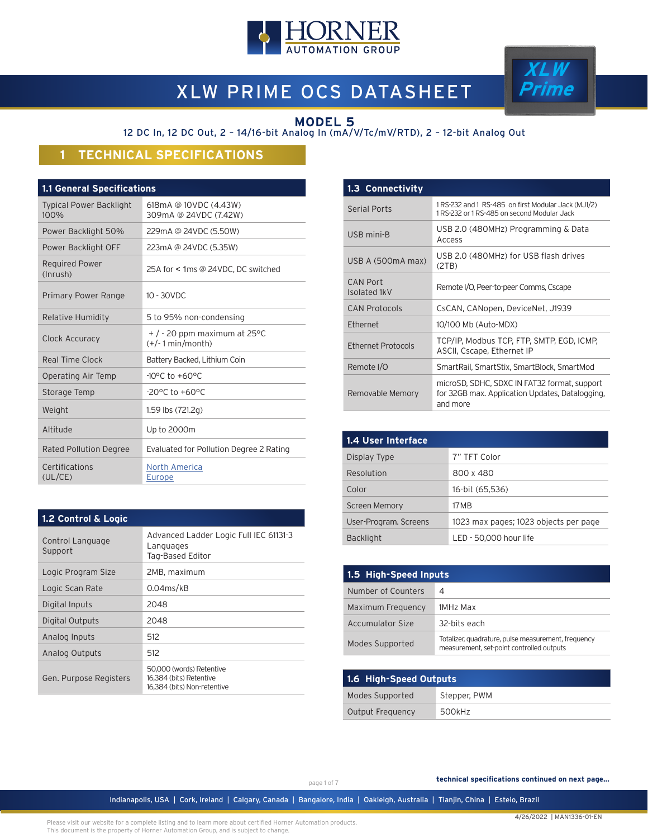

# XLW PRIME OCS DATASHEET

### **MODEL 5**

12 DC In, 12 DC Out, 2 – 14/16-bit Analog In (mA/V/Tc/mV/RTD), 2 – 12-bit Analog Out

# **1 TECHNICAL SPECIFICATIONS**

### **1.1 General Specifications**

| <b>Typical Power Backlight</b><br>100% | 618mA @ 10VDC (4.43W)<br>309mA @ 24VDC (7.42W)          |
|----------------------------------------|---------------------------------------------------------|
| Power Backlight 50%                    | 229mA @ 24VDC (5.50W)                                   |
| Power Backlight OFF                    | 223mA @ 24VDC (5.35W)                                   |
| <b>Required Power</b><br>(Inrush)      | 25A for < 1ms @ 24VDC, DC switched                      |
| Primary Power Range                    | $10 - 30$ VDC                                           |
| <b>Relative Humidity</b>               | 5 to 95% non-condensing                                 |
| Clock Accuracy                         | $+$ / $-$ 20 ppm maximum at 25 °C<br>$(+/-1$ min/month) |
| Real Time Clock                        | Battery Backed, Lithium Coin                            |
| Operating Air Temp                     | $-10^{\circ}$ C to $+60^{\circ}$ C                      |
| Storage Temp                           | $-20$ °C to $+60$ °C                                    |
| Weight                                 | 1.59 lbs (721.2g)                                       |
| Altitude                               | Up to 2000m                                             |
| <b>Rated Pollution Degree</b>          | Evaluated for Pollution Degree 2 Rating                 |
| Certifications<br>(UL/CE)              | North America<br>Europe                                 |

| 1.3 Connectivity          |                                                                                                             |
|---------------------------|-------------------------------------------------------------------------------------------------------------|
| <b>Serial Ports</b>       | 1 RS-232 and 1 RS-485 on first Modular Jack (MJ1/2)<br>1 RS-232 or 1 RS-485 on second Modular Jack          |
| USB mini-B                | USB 2.0 (480MHz) Programming & Data<br>Access                                                               |
| USB A (500mA max)         | USB 2.0 (480MHz) for USB flash drives<br>(2TB)                                                              |
| CAN Port<br>Isolated 1kV  | Remote I/O, Peer-to-peer Comms, Cscape                                                                      |
| <b>CAN Protocols</b>      | CsCAN, CANopen, DeviceNet, J1939                                                                            |
| Ethernet                  | 10/100 Mb (Auto-MDX)                                                                                        |
| <b>Ethernet Protocols</b> | TCP/IP, Modbus TCP, FTP, SMTP, EGD, ICMP,<br>ASCII, Cscape, Ethernet IP                                     |
| Remote I/O                | SmartRail, SmartStix, SmartBlock, SmartMod                                                                  |
| Removable Memory          | microSD, SDHC, SDXC IN FAT32 format, support<br>for 32GB max. Application Updates, Datalogging,<br>and more |

**XLW Prime**

| 1.4 User Interface    |                                       |
|-----------------------|---------------------------------------|
| Display Type          | 7" TFT Color                          |
| Resolution            | 800 x 480                             |
| Color                 | 16-bit (65,536)                       |
| <b>Screen Memory</b>  | 17 M B                                |
| User-Program. Screens | 1023 max pages; 1023 objects per page |
| <b>Backlight</b>      | LED - 50,000 hour life                |

| 1.5 High-Speed Inputs |                                                                                                  |  |
|-----------------------|--------------------------------------------------------------------------------------------------|--|
| Number of Counters    | 4                                                                                                |  |
| Maximum Frequency     | 1MHz Max                                                                                         |  |
| Accumulator Size      | 32-bits each                                                                                     |  |
| Modes Supported       | Totalizer, quadrature, pulse measurement, frequency<br>measurement, set-point controlled outputs |  |

| 1.6 High-Speed Outputs |              |  |
|------------------------|--------------|--|
| Modes Supported        | Stepper, PWM |  |
| Output Frequency       | 500kHz       |  |

### **1.2 Control & Logic**

| Control Language<br>Support | Advanced Ladder Logic Full IEC 61131-3<br>Languages<br>Tag-Based Editor            |
|-----------------------------|------------------------------------------------------------------------------------|
| Logic Program Size          | 2MB, maximum                                                                       |
| Logic Scan Rate             | $0.04$ ms/kB                                                                       |
| Digital Inputs              | 2048                                                                               |
| Digital Outputs             | 2048                                                                               |
| Analog Inputs               | 512                                                                                |
| Analog Outputs              | 512                                                                                |
| Gen. Purpose Registers      | 50,000 (words) Retentive<br>16,384 (bits) Retentive<br>16.384 (bits) Non-retentive |

page 1 of 7

 **technical specifications continued on next page...**

Indianapolis, USA | Cork, Ireland | Calgary, Canada | Bangalore, India | Oakleigh, Australia | Tianjin, China | Esteio, Brazil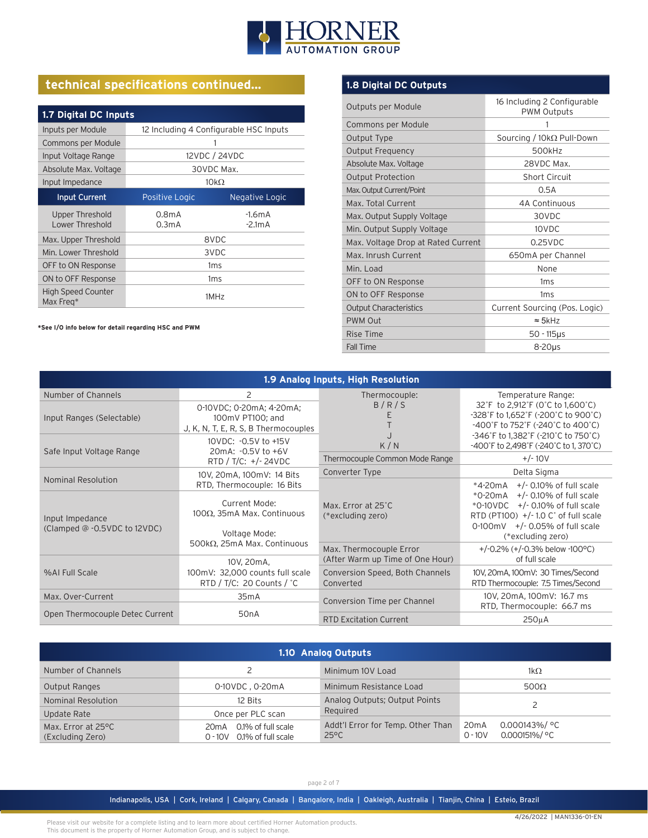

# **technical specifications continued...**

| 1.7 Digital DC Inputs                  |                                          |                      |  |
|----------------------------------------|------------------------------------------|----------------------|--|
| Inputs per Module                      | 12 Including 4 Configurable HSC Inputs   |                      |  |
| Commons per Module                     |                                          |                      |  |
| Input Voltage Range                    |                                          | 12VDC / 24VDC        |  |
| Absolute Max. Voltage                  |                                          | 30VDC Max.           |  |
| Input Impedance                        | $10k\Omega$                              |                      |  |
| <b>Input Current</b>                   | Positive Logic                           | Negative Logic       |  |
| Upper Threshold<br>Lower Threshold     | 0.8 <sub>m</sub> A<br>0.3 <sub>m</sub> A | $-1.6mA$<br>$-2.1mA$ |  |
| Max. Upper Threshold                   | 8VDC                                     |                      |  |
| Min. Lower Threshold                   | 3VDC                                     |                      |  |
| OFF to ON Response                     | 1 <sub>ms</sub>                          |                      |  |
| ON to OFF Response                     | 1 <sub>ms</sub>                          |                      |  |
| <b>High Speed Counter</b><br>Max Freq* | 1MHz                                     |                      |  |

**\*See I/O info below for detail regarding HSC and PWM**

### **1.8 Digital DC Outputs**

| Outputs per Module                 | 16 Including 2 Configurable<br><b>PWM Outputs</b> |
|------------------------------------|---------------------------------------------------|
| Commons per Module                 | 1                                                 |
| Output Type                        | Sourcing / $10k\Omega$ Pull-Down                  |
| Output Frequency                   | 500kHz                                            |
| Absolute Max. Voltage              | 28VDC Max.                                        |
| <b>Output Protection</b>           | <b>Short Circuit</b>                              |
| Max. Output Current/Point          | 0.5A                                              |
| Max. Total Current                 | 4A Continuous                                     |
| Max. Output Supply Voltage         | 30VDC                                             |
| Min. Output Supply Voltage         | 10VDC                                             |
| Max. Voltage Drop at Rated Current | $0.25$ VDC                                        |
| Max. Inrush Current                | 650mA per Channel                                 |
| Min. Load                          | None                                              |
| OFF to ON Response                 | 1 <sub>ms</sub>                                   |
| ON to OFF Response                 | 1 <sub>ms</sub>                                   |
| <b>Output Characteristics</b>      | Current Sourcing (Pos. Logic)                     |
| PWM Out                            | $\approx$ 5kHz                                    |
| Rise Time                          | $50 - 115$ µs                                     |
| <b>Fall Time</b>                   | $8-20\mu s$                                       |

| 1.9 Analog Inputs, High Resolution                                                       |                                                                                               |                                                             |                                                                                                                                                                                                                           |
|------------------------------------------------------------------------------------------|-----------------------------------------------------------------------------------------------|-------------------------------------------------------------|---------------------------------------------------------------------------------------------------------------------------------------------------------------------------------------------------------------------------|
| Number of Channels                                                                       | 2                                                                                             | Thermocouple:                                               | Temperature Range:                                                                                                                                                                                                        |
| Input Ranges (Selectable)                                                                | 0-10VDC; 0-20mA; 4-20mA;<br>100mV PT100; and<br>J, K, N, T, E, R, S, B Thermocouples          | B/R/S                                                       | 32°F to 2,912°F (0°C to 1,600°C)<br>-328°F to 1,652°F (-200°C to 900°C)<br>-400°F to 752°F (-240°C to 400°C)<br>-346°F to 1,382°F (-210°C to 750°C)                                                                       |
| Safe Input Voltage Range                                                                 | 10VDC: - 0.5V to +15V<br>20mA: -0.5V to +6V                                                   | K/N                                                         | -400°F to 2,498°F (-240°C to 1,370°C)                                                                                                                                                                                     |
|                                                                                          | RTD / T/C: $+/- 24VDC$                                                                        | Thermocouple Common Mode Range                              | $+/- 10V$                                                                                                                                                                                                                 |
| Nominal Resolution                                                                       | 10V, 20mA, 100mV: 14 Bits                                                                     | Converter Type                                              | Delta Sigma                                                                                                                                                                                                               |
| Input Impedance<br>(Clamped @ -0.5VDC to 12VDC)                                          | RTD, Thermocouple: 16 Bits<br>Current Mode:<br>$100Ω$ , 35mA Max. Continuous<br>Voltage Mode: | Max. Error at 25°C<br>(*excluding zero)                     | $*4-20mA$ +/- 0.10% of full scale<br>$*$ 0-20 mA $+$ /-0.10% of full scale<br>$*$ 0-10VDC $+/-$ 0.10% of full scale<br>RTD (PT100) $+/-1.0$ C° of full scale<br>$+/-$ 0.05% of full scale<br>0-100mV<br>(*excluding zero) |
|                                                                                          | 500kΩ, 25mA Max. Continuous<br>10V, 20mA,                                                     | Max. Thermocouple Error<br>(After Warm up Time of One Hour) | +/-0.2% $(+/-0.3%$ below -100 °C)<br>of full scale                                                                                                                                                                        |
| 100mV: 32,000 counts full scale<br>%AI Full Scale<br>RTD / T/C: 20 Counts / $^{\circ}$ C |                                                                                               | Conversion Speed, Both Channels<br>Converted                | 10V, 20mA, 100mV: 30 Times/Second<br>RTD Thermocouple: 7.5 Times/Second                                                                                                                                                   |
| Max. Over-Current                                                                        | 35mA                                                                                          | Conversion Time per Channel                                 | 10V, 20mA, 100mV: 16.7 ms<br>RTD, Thermocouple: 66.7 ms                                                                                                                                                                   |
| Open Thermocouple Detec Current                                                          | 50 <sub>n</sub> A                                                                             | <b>RTD Excitation Current</b>                               | 250 <sub>u</sub> A                                                                                                                                                                                                        |

| 1.10 Analog Outputs                    |                                                               |                                                     |                                                                          |
|----------------------------------------|---------------------------------------------------------------|-----------------------------------------------------|--------------------------------------------------------------------------|
| Number of Channels                     |                                                               | Minimum 10V Load                                    | $1k\Omega$                                                               |
| <b>Output Ranges</b>                   | 0-10VDC, 0-20mA                                               | Minimum Resistance Load                             | $500\Omega$                                                              |
| Nominal Resolution                     | 12 Bits                                                       | Analog Outputs; Output Points                       |                                                                          |
| Update Rate                            | Once per PLC scan                                             | Required                                            |                                                                          |
| Max. Error at 25°C<br>(Excluding Zero) | 0.1% of full scale<br>20mA<br>0.1% of full scale<br>$0 - 10V$ | Addt'l Error for Temp. Other Than<br>$25^{\circ}$ C | $0.000143\%$ / °C<br>20 <sub>m</sub> A<br>$0.000151\%$ / °C<br>$0 - 10V$ |

page 2 of 7

Indianapolis, USA | Cork, Ireland | Calgary, Canada | Bangalore, India | Oakleigh, Australia | Tianjin, China | Esteio, Brazil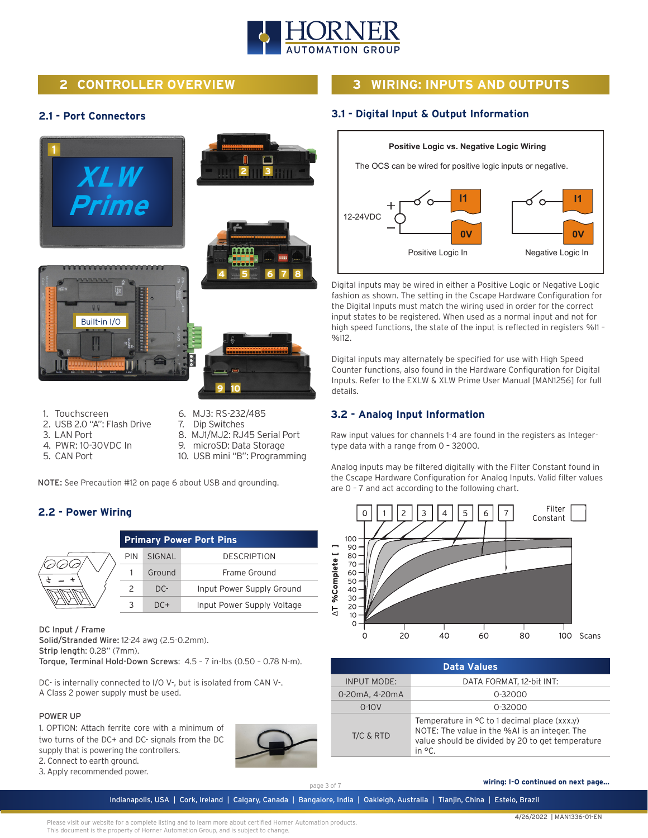

# **2 CONTROLLER OVERVIEW**

# **3 WIRING: INPUTS AND OUTPUTS**

**3.1 - Digital Input & Output Information**

### **2.1 - Port Connectors**



- 1. Touchscreen
- 2. USB 2.0 "A": Flash Drive
- 3. LAN Port
- 4. PWR: 10-30VDC In
- 5. CAN Port
- 6. MJ3: RS-232/485
- 7. Dip Switches
- 8. MJ1/MJ2: RJ45 Serial Port
- 9. microSD: Data Storage
- 10. USB mini "B": Programming

NOTE: See Precaution #12 on page 6 about USB and grounding.

### **2.2 - Power Wiring**

| <b>Primary Power Port Pins</b> |        |                            |
|--------------------------------|--------|----------------------------|
| <b>PIN</b>                     | SIGNAL | <b>DESCRIPTION</b>         |
|                                | Ground | Frame Ground               |
|                                | $DC -$ | Input Power Supply Ground  |
|                                | $DC+$  | Input Power Supply Voltage |

DC Input / Frame Solid/Stranded Wire: 12-24 awg (2.5-0.2mm). Strip length: 0.28" (7mm). Torque, Terminal Hold-Down Screws: 4.5 – 7 in-lbs (0.50 – 0.78 N-m).

DC- is internally connected to I/O V-, but is isolated from CAN V-. A Class 2 power supply must be used.

#### POWER UP

1. OPTION: Attach ferrite core with a minimum of two turns of the DC+ and DC- signals from the DC supply that is powering the controllers. 2. Connect to earth ground.



**Positive Logic vs. Negative Logic Wiring** The OCS can be wired for positive logic inputs or negative.



Digital inputs may be wired in either a Positive Logic or Negative Logic fashion as shown. The setting in the Cscape Hardware Configuration for the Digital Inputs must match the wiring used in order for the correct input states to be registered. When used as a normal input and not for high speed functions, the state of the input is reflected in registers %I1 – %I12.

Digital inputs may alternately be specified for use with High Speed Counter functions, also found in the Hardware Configuration for Digital Inputs. Refer to the EXLW & XLW Prime User Manual [MAN1256] for full details.

### **3.2 - Analog Input Information**

Raw input values for channels 1-4 are found in the registers as Integertype data with a range from 0 – 32000.

Analog inputs may be filtered digitally with the Filter Constant found in the Cscape Hardware Configuration for Analog Inputs. Valid filter values are 0 – 7 and act according to the following chart.



| <b>Data Values</b> |                                                                                                                                                                   |  |  |
|--------------------|-------------------------------------------------------------------------------------------------------------------------------------------------------------------|--|--|
| <b>INPUT MODE:</b> | DATA FORMAT, 12-bit INT:                                                                                                                                          |  |  |
| 0-20mA, 4-20mA     | $0 - 32000$                                                                                                                                                       |  |  |
| $0-10V$            | $0 - 32000$                                                                                                                                                       |  |  |
| $T/C$ & RTD        | Temperature in $\circ$ C to 1 decimal place (xxx.y)<br>NOTE: The value in the %AI is an integer. The<br>value should be divided by 20 to get temperature<br>in °C |  |  |

3. Apply recommended power.

page 3 of 7

 **wiring: I-O continued on next page...**

Indianapolis, USA | Cork, Ireland | Calgary, Canada | Bangalore, India | Oakleigh, Australia | Tianjin, China | Esteio, Brazil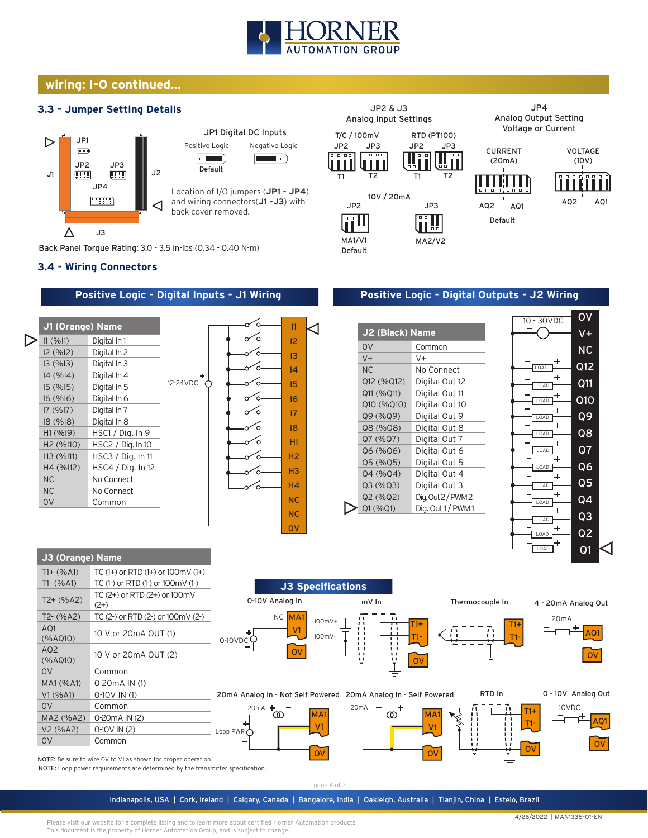

◁

## **wiring: I-O continued...**

### **3.3 - Jumper Setting Details**



Back Panel Torque Rating: 3.0 - 3.5 in-lbs (0.34 - 0.40 N-m)

#### **3.4 - Wiring Connectors**

**J3 (Orange) Name**

#### **Positive Logic - Digital Inputs - J1 Wiring**







### **Positive Logic - Digital Outputs - J2 Wiring**

| J2 (Black) Name |                   |  |  |  |  |
|-----------------|-------------------|--|--|--|--|
| OV              | Common            |  |  |  |  |
| $V +$           | V+                |  |  |  |  |
| N <sub>C</sub>  | No Connect        |  |  |  |  |
| Q12 (%Q12)      | Digital Out 12    |  |  |  |  |
| Q11 (%Q11)      | Digital Out 11    |  |  |  |  |
| Q10 (%Q10)      | Digital Out 10    |  |  |  |  |
| Q9 (%Q9)        | Digital Out 9     |  |  |  |  |
| Q8 (%Q8)        | Digital Out 8     |  |  |  |  |
| Q7 (%Q7)        | Digital Out 7     |  |  |  |  |
| Q6 (%Q6)        | Digital Out 6     |  |  |  |  |
| Q5 (%Q5)        | Digital Out 5     |  |  |  |  |
| Q4 (%Q4)        | Digital Out 4     |  |  |  |  |
| Q3(%Q3)         | Digital Out 3     |  |  |  |  |
| Q2 (%Q2)        | Dig. Out 2/PWM2   |  |  |  |  |
| Q1 (%Q1)        | Dig. Out 1 / PWM1 |  |  |  |  |
|                 |                   |  |  |  |  |



| $T1 + (%A1)$               | TC $(1+)$ or RTD $(1+)$ or $100$ mV $(1+)$                    |                    |                                                                                           |                       |                     |
|----------------------------|---------------------------------------------------------------|--------------------|-------------------------------------------------------------------------------------------|-----------------------|---------------------|
| $T1-(%A1)$                 | TC (1-) or RTD (1-) or 100mV (1-)                             |                    | <b>J3 Specifications</b>                                                                  |                       |                     |
| $T2+ (%A2)$                | TC (2+) or RTD (2+) or 100mV<br>$(2+)$                        | 0-10V Analog In    | mV In                                                                                     | Thermocouple In       | 4 - 20mA Analog Out |
| $T2-(%A2)$                 | TC (2-) or RTD (2-) or 100mV (2-)                             | NC MA1             | $100mV+$                                                                                  |                       | 20 <sub>m</sub> A   |
| AQ1<br>(%AQ10)             | 10 V or 20mA OUT (1)                                          | $0-10VDC$          | ᠇᠇<br>- 1<br>$\blacksquare$<br>100mV-<br>$\mathbf{I}$<br>$\mathbf{I}$<br>. .              | $T1+$<br>F1+<br>$T1-$ | AQ1                 |
| AQ <sub>2</sub><br>(%AQ10) | 10 V or 20mA OUT (2)                                          | ov                 | . .<br>$\mathbf{1}$<br>$\blacksquare$<br>$\mathbf{L}$<br>$\overline{u}$<br>$\overline{u}$ |                       | <b>OV</b>           |
| 0 <sup>V</sup>             | Common                                                        |                    |                                                                                           |                       |                     |
| MA1 (%A1)                  | 0-20 m A IN (1)                                               |                    |                                                                                           |                       |                     |
| V1 (% A1)                  | $0-10V$ IN (1)                                                |                    | 20mA Analog In - Not Self Powered 20mA Analog In - Self Powered                           | RTD In                | 0 - 10V Analog Out  |
| 0 <sup>V</sup>             | Common                                                        | 20 $mA +$          | 20 <sub>m</sub> A                                                                         |                       | 10VDC<br>$T1+$      |
| MA2 (%A2)                  | 0-20 m A IN (2)                                               |                    | MA <sub>1</sub><br>ത                                                                      | MA1                   | AQ1                 |
| V2 (%A2)                   | $0-10V$ IN (2)                                                | Loop PWR $\bigcap$ | V <sub>1</sub>                                                                            | V <sub>1</sub>        |                     |
| <b>OV</b>                  | Common                                                        |                    |                                                                                           |                       | OV                  |
|                            | IOTE: Be sure to wire OV to V1 as shown for proper operation. |                    | <b>OV</b>                                                                                 | <b>OV</b>             | OV                  |

NOTE: Be sure to wire 0V to V1 as shown for proper operation. NOTE: Loop power requirements are determined by the transmitter specification.

page 4 of 7

Indianapolis, USA | Cork, Ireland | Calgary, Canada | Bangalore, India | Oakleigh, Australia | Tianjin, China | Esteio, Brazil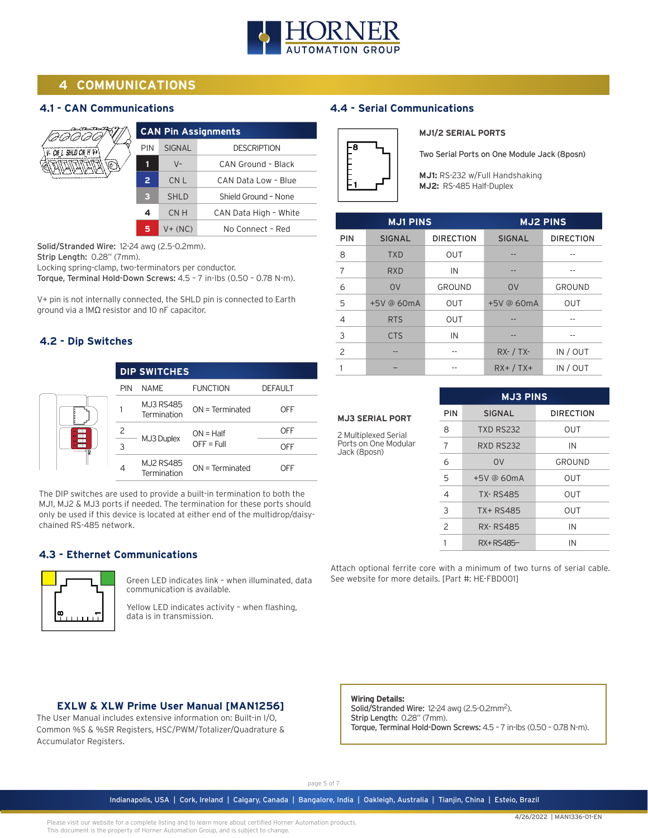

# **4 COMMUNICATIONS**

### **4.1 - CAN Communications**

|                           |                |                 | <b>CAN Pin Assignments</b> |
|---------------------------|----------------|-----------------|----------------------------|
| $V$ - CN L SHLD CN H $V+$ | <b>PIN</b>     | <b>SIGNAL</b>   | <b>DESCRIPTION</b>         |
|                           |                | $V -$           | CAN Ground - Black         |
|                           | $\overline{2}$ | CN <sub>L</sub> | CAN Data Low - Blue        |
|                           | з              | <b>SHLD</b>     | Shield Ground - None       |
|                           | 4              | CN H            | CAN Data High - White      |
|                           | 5              | $V + (NC)$      | No Connect - Red           |

Solid/Stranded Wire: 12-24 awg (2.5-0.2mm).

Strip Length: 0.28" (7mm).

Locking spring-clamp, two-terminators per conductor.

Torque, Terminal Hold-Down Screws: 4.5 – 7 in-lbs (0.50 – 0.78 N-m).

V+ pin is not internally connected, the SHLD pin is connected to Earth ground via a 1MΩ resistor and 10 nF capacitor.

### **4.2 - Dip Switches**

|            | <b>DIP SWITCHES</b>             |                             |                |
|------------|---------------------------------|-----------------------------|----------------|
| <b>PIN</b> | <b>NAME</b>                     | <b>FUNCTION</b>             | <b>DEFAULT</b> |
|            | <b>MJ3 RS485</b><br>Termination | $ON = Terminated$           | OFF            |
|            | MJ3 Duplex                      | $ON = Half$<br>$OFF = Full$ | OFF            |
| 3          |                                 |                             | OFF            |
| 4          | <b>MJ2 RS485</b><br>Termination | $ON = Terminated$           | OFF            |

The DIP switches are used to provide a built-in termination to both the MJ1, MJ2 & MJ3 ports if needed. The termination for these ports should only be used if this device is located at either end of the multidrop/daisychained RS-485 network.

#### **4.3 - Ethernet Communications**



Green LED indicates link – when illuminated, data communication is available.

Yellow LED indicates activity – when flashing, data is in transmission.

### **EXLW & XLW Prime User Manual [MAN1256]**

The User Manual includes extensive information on: Built-in I/O, Common %S & %SR Registers, HSC/PWM/Totalizer/Quadrature & Accumulator Registers.

# **4.4 - Serial Communications**



#### **MJ1/2 SERIAL PORTS**

Two Serial Ports on One Module Jack (8posn)

**MJ1:** RS-232 w/Full Handshaking **MJ2:** RS-485 Half-Duplex

| <b>MJ1 PINS</b> |                |                  | <b>MJ2 PINS</b> |                  |
|-----------------|----------------|------------------|-----------------|------------------|
| <b>PIN</b>      | <b>SIGNAL</b>  | <b>DIRECTION</b> | <b>SIGNAL</b>   | <b>DIRECTION</b> |
| 8               | <b>TXD</b>     | <b>OUT</b>       | --              |                  |
| 7               | <b>RXD</b>     | IN               |                 |                  |
| 6               | O <sub>V</sub> | GROUND           | O <sub>V</sub>  | GROUND           |
| 5               | +5V @ 60mA     | <b>OUT</b>       | +5V @ 60mA      | <b>OUT</b>       |
| 4               | <b>RTS</b>     | <b>OUT</b>       |                 |                  |
| 3               | <b>CTS</b>     | IN               | --              |                  |
| $\mathcal{P}$   | --             |                  | $RX - / TX -$   | IN / OUT         |
|                 |                |                  | $RX+ / TX+$     | IN / OUT         |

# **MJ3 SERIAL PORT** 2 Multiplexed Serial

Ports on One Modular Jack (8posn)

| <b>MJ3 PINS</b> |                  |                  |  |  |
|-----------------|------------------|------------------|--|--|
| PIN             | <b>SIGNAL</b>    | <b>DIRECTION</b> |  |  |
| 8               | <b>TXD RS232</b> | OUT              |  |  |
| 7               | <b>RXD RS232</b> | IN               |  |  |
| 6               | O <sub>V</sub>   | GROUND           |  |  |
| 5               | $+5V$ @ 60mA     | OUT              |  |  |
| $\overline{4}$  | <b>TX-RS485</b>  | OUT              |  |  |
| 3               | TX+RS485         | OUT              |  |  |
| $\overline{c}$  | <b>RX-RS485</b>  | IN               |  |  |
|                 | RX+RS485-        | IN               |  |  |

Attach optional ferrite core with a minimum of two turns of serial cable. See website for more details. [Part #: HE-FBD001]

**Wiring Details:**

Solid/Stranded Wire: 12-24 awg (2.5-0.2mm<sup>2</sup>). Strip Length: 0.28" (7mm). Torque, Terminal Hold-Down Screws: 4.5 – 7 in-lbs (0.50 – 0.78 N-m).

page 5 of 7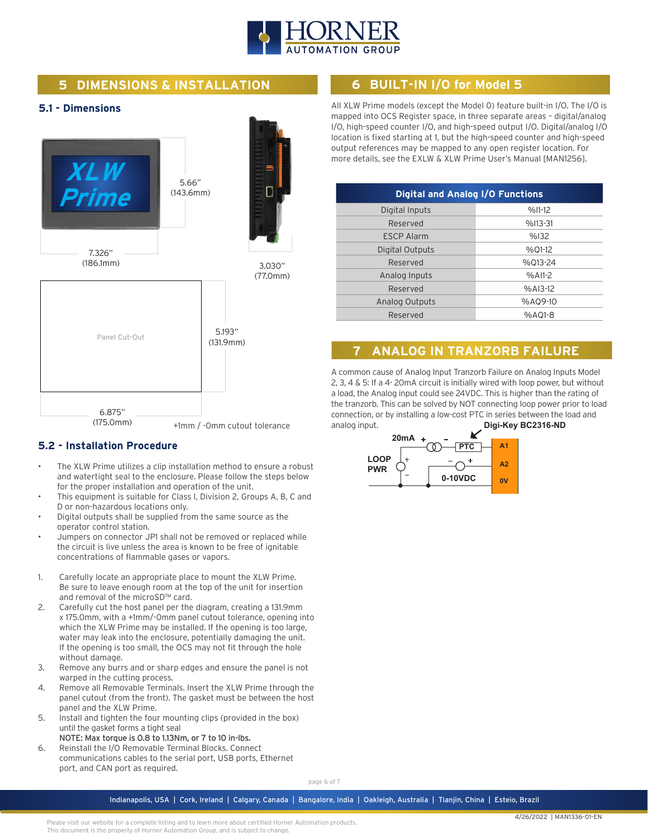

# **5 DIMENSIONS & INSTALLATION**

### **5.1 - Dimensions**



### **5.2 - Installation Procedure**

- The XLW Prime utilizes a clip installation method to ensure a robust and watertight seal to the enclosure. Please follow the steps below for the proper installation and operation of the unit.
- This equipment is suitable for Class I, Division 2, Groups A, B, C and D or non-hazardous locations only.
- Digital outputs shall be supplied from the same source as the operator control station.
- Jumpers on connector JP1 shall not be removed or replaced while the circuit is live unless the area is known to be free of ignitable concentrations of flammable gases or vapors.
- 1. Carefully locate an appropriate place to mount the XLW Prime. Be sure to leave enough room at the top of the unit for insertion and removal of the microSD™ card.
- 2. Carefully cut the host panel per the diagram, creating a 131.9mm x 175.0mm, with a +1mm/-0mm panel cutout tolerance, opening into which the XLW Prime may be installed. If the opening is too large, water may leak into the enclosure, potentially damaging the unit. If the opening is too small, the OCS may not fit through the hole without damage.
- 3. Remove any burrs and or sharp edges and ensure the panel is not warped in the cutting process.
- 4. Remove all Removable Terminals. Insert the XLW Prime through the panel cutout (from the front). The gasket must be between the host panel and the XLW Prime.
- 5. Install and tighten the four mounting clips (provided in the box) until the gasket forms a tight seal
	- NOTE: Max torque is 0.8 to 1.13Nm, or 7 to 10 in-lbs.
- 6. Reinstall the I/O Removable Terminal Blocks. Connect communications cables to the serial port, USB ports, Ethernet port, and CAN port as required.

# **6 BUILT-IN I/O for Model 5**

All XLW Prime models (except the Model 0) feature built-in I/O. The I/O is mapped into OCS Register space, in three separate areas – digital/analog I/O, high-speed counter I/O, and high-speed output I/O. Digital/analog I/O location is fixed starting at 1, but the high-speed counter and high-speed output references may be mapped to any open register location. For more details, see the EXLW & XLW Prime User's Manual [MAN1256].

| <b>Digital and Analog I/O Functions</b> |           |  |  |  |
|-----------------------------------------|-----------|--|--|--|
| Digital Inputs                          | $%11-12$  |  |  |  |
| Reserved                                | $%113-31$ |  |  |  |
| <b>ESCP Alarm</b>                       | %132      |  |  |  |
| Digital Outputs                         | %01-12    |  |  |  |
| Reserved                                | %013-24   |  |  |  |
| Analog Inputs                           | $%$ AI1-2 |  |  |  |
| Reserved                                | $%A13-12$ |  |  |  |
| <b>Analog Outputs</b>                   | %AQ9-10   |  |  |  |
| Reserved                                | %A01-8    |  |  |  |

# **7 ANALOG IN TRANZORB FAILURE**

A common cause of Analog Input Tranzorb Failure on Analog Inputs Model 2, 3, 4 & 5: If a 4- 20mA circuit is initially wired with loop power, but without a load, the Analog input could see 24VDC. This is higher than the rating of the tranzorb. This can be solved by NOT connecting loop power prior to load connection, or by installing a low-cost PTC in series between the load and analog input. **Digi-Key BC2316-ND**



page 6 of 7